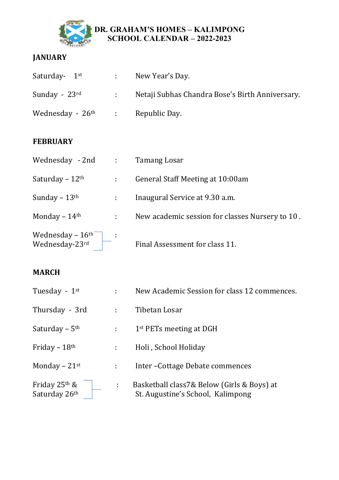

#### **DR. GRAHAM'S HOMES – KALIMPONG SCHOOL CALENDAR – 2022-2023**

## **JANUARY**

| Saturday- $1st$              |                                                                                     | New Year's Day.                                 |
|------------------------------|-------------------------------------------------------------------------------------|-------------------------------------------------|
| Sunday - $23$ <sup>rd</sup>  | $\mathcal{L}^{\text{max}}$                                                          | Netaji Subhas Chandra Bose's Birth Anniversary. |
| Wednesday - 26 <sup>th</sup> | $\mathcal{L}^{\text{max}}_{\text{max}}$ and $\mathcal{L}^{\text{max}}_{\text{max}}$ | Republic Day.                                   |

#### **FEBRUARY**

| Wednesday - 2nd :                             |   | Tamang Losar                                    |
|-----------------------------------------------|---|-------------------------------------------------|
| Saturday – $12th$                             | ÷ | General Staff Meeting at 10:00am                |
| Sunday $-13$ <sup>th</sup>                    |   | Inaugural Service at 9.30 a.m.                  |
| Monday $-14$ <sup>th</sup>                    | ÷ | New academic session for classes Nursery to 10. |
| Wednesday $-16^{\text{th}}$<br>Wednesday-23rd |   | Final Assessment for class 11.                  |

#### **MARCH**

| Tuesday - $1st$                              |    | New Academic Session for class 12 commences.                                    |
|----------------------------------------------|----|---------------------------------------------------------------------------------|
| Thursday - 3rd                               |    | Tibetan Losar                                                                   |
| Saturday – $5th$                             |    | $1st$ PETs meeting at DGH                                                       |
| Friday – $18th$                              | ÷  | Holi, School Holiday                                                            |
| Monday $-21$ <sup>st</sup>                   | ÷. | Inter-Cottage Debate commences                                                  |
| Friday $25$ <sup>th</sup> &<br>Saturday 26th | t. | Basketball class7& Below (Girls & Boys) at<br>St. Augustine's School, Kalimpong |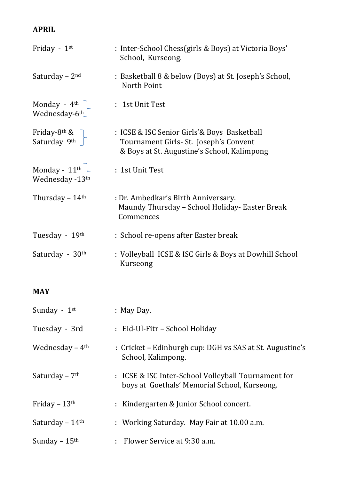# **APRIL**

| Friday - $1st$                                        | : Inter-School Chess(girls & Boys) at Victoria Boys'<br>School, Kurseong.                                                            |
|-------------------------------------------------------|--------------------------------------------------------------------------------------------------------------------------------------|
| Saturday – $2nd$                                      | : Basketball 8 & below (Boys) at St. Joseph's School,<br>North Point                                                                 |
| Monday - $4^{\text{th}}$<br>Wednesday-6 <sup>th</sup> | : 1st Unit Test                                                                                                                      |
| Friday-8 <sup>th</sup> &<br>Saturday 9th $\sqrt{\ }$  | : ICSE & ISC Senior Girls'& Boys Basketball<br>Tournament Girls- St. Joseph's Convent<br>& Boys at St. Augustine's School, Kalimpong |
| Monday - $11^{\text{th}}$<br>Wednesday -13th          | : 1st Unit Test                                                                                                                      |
| Thursday $-14$ <sup>th</sup>                          | : Dr. Ambedkar's Birth Anniversary.<br>Maundy Thursday - School Holiday- Easter Break<br>Commences                                   |
| Tuesday - 19th                                        | : School re-opens after Easter break                                                                                                 |
| Saturday - 30 <sup>th</sup>                           | : Volleyball ICSE & ISC Girls & Boys at Dowhill School<br>Kurseong                                                                   |

## **MAY**

| Sunday - $1st$               | $:$ May Day.                                                                                        |
|------------------------------|-----------------------------------------------------------------------------------------------------|
| Tuesday - 3rd                | : Eid-Ul-Fitr – School Holiday                                                                      |
| Wednesday $-4$ <sup>th</sup> | : Cricket – Edinburgh cup: DGH vs SAS at St. Augustine's<br>School, Kalimpong.                      |
| Saturday – $7th$             | : ICSE & ISC Inter-School Volleyball Tournament for<br>boys at Goethals' Memorial School, Kurseong. |
| Friday – $13th$              | : Kindergarten & Junior School concert.                                                             |
| Saturday – $14th$            | : Working Saturday. May Fair at 10.00 a.m.                                                          |
| Sunday $-15$ <sup>th</sup>   | $:$ Flower Service at 9:30 a.m.                                                                     |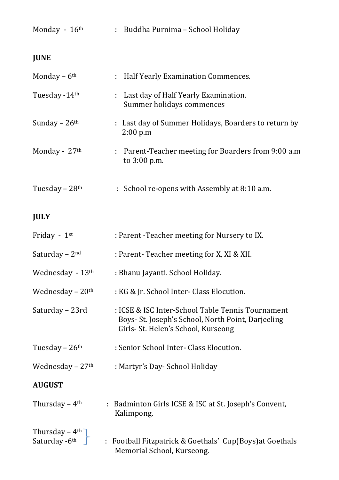| Monday - 16th                                   | : Buddha Purnima - School Holiday                                                                                                              |
|-------------------------------------------------|------------------------------------------------------------------------------------------------------------------------------------------------|
| <b>JUNE</b>                                     |                                                                                                                                                |
| Monday $-6$ <sup>th</sup>                       | : Half Yearly Examination Commences.                                                                                                           |
| Tuesday -14th                                   | Last day of Half Yearly Examination.<br>Summer holidays commences                                                                              |
| Sunday $-26$ <sup>th</sup>                      | : Last day of Summer Holidays, Boarders to return by<br>2:00 p.m                                                                               |
| Monday - 27th                                   | : Parent-Teacher meeting for Boarders from 9:00 a.m<br>to 3:00 p.m.                                                                            |
| Tuesday $-28$ <sup>th</sup>                     | : School re-opens with Assembly at 8:10 a.m.                                                                                                   |
| <b>JULY</b>                                     |                                                                                                                                                |
| Friday - $1st$                                  | : Parent - Teacher meeting for Nursery to IX.                                                                                                  |
| Saturday – $2nd$                                | : Parent-Teacher meeting for X, XI & XII.                                                                                                      |
| Wednesday $-13$ <sup>th</sup>                   | : Bhanu Jayanti. School Holiday.                                                                                                               |
| Wednesday $-20$ <sup>th</sup>                   | : KG & Jr. School Inter- Class Elocution.                                                                                                      |
| Saturday - 23rd                                 | : ICSE & ISC Inter-School Table Tennis Tournament<br>Boys- St. Joseph's School, North Point, Darjeeling<br>Girls- St. Helen's School, Kurseong |
| Tuesday – $26th$                                | : Senior School Inter- Class Elocution.                                                                                                        |
| Wednesday $-27$ <sup>th</sup>                   | : Martyr's Day- School Holiday                                                                                                                 |
| <b>AUGUST</b>                                   |                                                                                                                                                |
| Thursday $-4$ <sup>th</sup>                     | : Badminton Girls ICSE & ISC at St. Joseph's Convent,<br>Kalimpong.                                                                            |
| Thursday - $4th$<br>Saturday $-6$ <sup>th</sup> | : Football Fitzpatrick & Goethals' Cup(Boys) at Goethals<br>Memorial School, Kurseong.                                                         |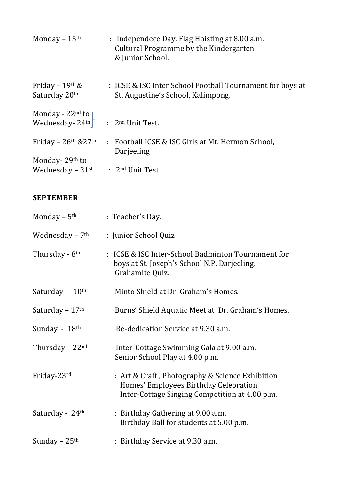| Monday $-15$ <sup>th</sup>                                               | : Independece Day. Flag Hoisting at 8.00 a.m.<br>Cultural Programme by the Kindergarten<br>& Junior School. |
|--------------------------------------------------------------------------|-------------------------------------------------------------------------------------------------------------|
| Friday – $19th$ &<br>Saturday 20th                                       | : ICSE & ISC Inter School Football Tournament for boys at<br>St. Augustine's School, Kalimpong.             |
| Monday - $22^{nd}$ to<br>Wednesday - $24^{th}$ : $2^{nd}$ Unit Test.     |                                                                                                             |
| Friday – $26th$ & $27th$                                                 | : Football ICSE & ISC Girls at Mt. Hermon School,<br>Darjeeling                                             |
| Monday-29 <sup>th</sup> to<br>Wednesday – $31^{st}$ : $2^{nd}$ Unit Test |                                                                                                             |

#### **SEPTEMBER**

| Monday $-5$ <sup>th</sup>    | : Teacher's Day.                                                                                                                           |  |
|------------------------------|--------------------------------------------------------------------------------------------------------------------------------------------|--|
| Wednesday $-7$ <sup>th</sup> | : Junior School Quiz                                                                                                                       |  |
| Thursday - 8 <sup>th</sup>   | : ICSE & ISC Inter-School Badminton Tournament for<br>boys at St. Joseph's School N.P, Darjeeling.<br>Grahamite Quiz.                      |  |
| Saturday - 10 <sup>th</sup>  | Minto Shield at Dr. Graham's Homes.<br>$\mathbb{R}^{n \times n}$                                                                           |  |
| Saturday – $17th$            | Burns' Shield Aquatic Meet at Dr. Graham's Homes.<br>÷.                                                                                    |  |
| Sunday - 18th                | Re-dedication Service at 9.30 a.m.<br>÷.                                                                                                   |  |
| Thursday $-22nd$             | Inter-Cottage Swimming Gala at 9.00 a.m.<br>$\mathbb{R}^{\mathbb{Z}}$<br>Senior School Play at 4.00 p.m.                                   |  |
| Friday-23rd                  | : Art & Craft, Photography & Science Exhibition<br>Homes' Employees Birthday Celebration<br>Inter-Cottage Singing Competition at 4.00 p.m. |  |
| Saturday - 24 <sup>th</sup>  | : Birthday Gathering at 9.00 a.m.<br>Birthday Ball for students at 5.00 p.m.                                                               |  |
| Sunday – $25th$              | : Birthday Service at 9.30 a.m.                                                                                                            |  |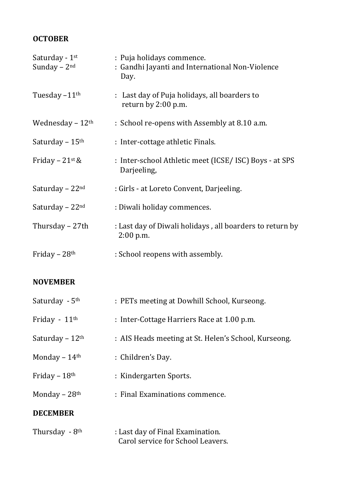## **OCTOBER**

| Saturday - 1 <sup>st</sup><br>Sunday $-2^{nd}$ | : Puja holidays commence.<br>: Gandhi Jayanti and International Non-Violence<br>Day. |
|------------------------------------------------|--------------------------------------------------------------------------------------|
| Tuesday $-11$ <sup>th</sup>                    | : Last day of Puja holidays, all boarders to<br>return by 2:00 p.m.                  |
| Wednesday $-12$ <sup>th</sup>                  | : School re-opens with Assembly at 8.10 a.m.                                         |
| Saturday – $15th$                              | : Inter-cottage athletic Finals.                                                     |
| Friday – $21$ <sup>st</sup> &                  | : Inter-school Athletic meet (ICSE/ISC) Boys - at SPS<br>Darjeeling,                 |
| Saturday – $22nd$                              | : Girls - at Loreto Convent, Darjeeling.                                             |
| Saturday – $22nd$                              | : Diwali holiday commences.                                                          |
| Thursday - 27th                                | : Last day of Diwali holidays, all boarders to return by<br>$2:00$ p.m.              |
| Friday – $28th$                                | : School reopens with assembly.                                                      |

## **NOVEMBER**

| Saturday - 5 <sup>th</sup>   | : PETs meeting at Dowhill School, Kurseong.                           |
|------------------------------|-----------------------------------------------------------------------|
| Friday - $11th$              | : Inter-Cottage Harriers Race at 1.00 p.m.                            |
| Saturday $-12$ <sup>th</sup> | : AIS Heads meeting at St. Helen's School, Kurseong.                  |
| Monday $-14$ <sup>th</sup>   | : Children's Day.                                                     |
| Friday $-18$ <sup>th</sup>   | : Kindergarten Sports.                                                |
| Monday $-28$ <sup>th</sup>   | : Final Examinations commence.                                        |
| <b>DECEMBER</b>              |                                                                       |
| Thursday - 8 <sup>th</sup>   | : Last day of Final Examination.<br>Carol service for School Leavers. |